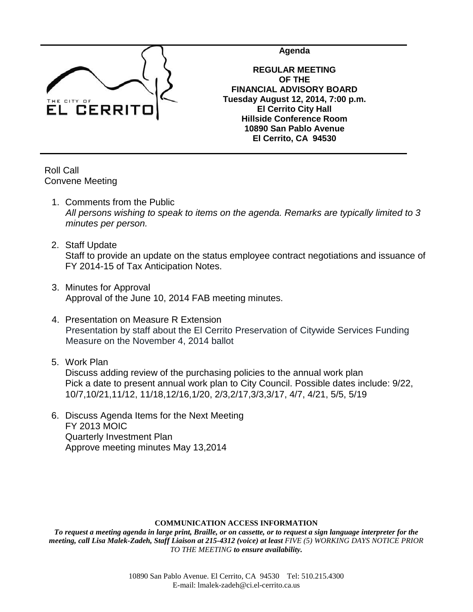

**Agenda**

**REGULAR MEETING OF THE FINANCIAL ADVISORY BOARD Tuesday August 12, 2014, 7:00 p.m. El Cerrito City Hall Hillside Conference Room 10890 San Pablo Avenue El Cerrito, CA 94530**

Roll Call Convene Meeting

- 1. Comments from the Public *All persons wishing to speak to items on the agenda. Remarks are typically limited to 3 minutes per person.*
- 2. Staff Update Staff to provide an update on the status employee contract negotiations and issuance of FY 2014-15 of Tax Anticipation Notes.
- 3. Minutes for Approval Approval of the June 10, 2014 FAB meeting minutes.
- 4. Presentation on Measure R Extension Presentation by staff about the El Cerrito Preservation of Citywide Services Funding Measure on the November 4, 2014 ballot
- 5. Work Plan

Discuss adding review of the purchasing policies to the annual work plan Pick a date to present annual work plan to City Council. Possible dates include: 9/22, 10/7,10/21,11/12, 11/18,12/16,1/20, 2/3,2/17,3/3,3/17, 4/7, 4/21, 5/5, 5/19

6. Discuss Agenda Items for the Next Meeting FY 2013 MOIC Quarterly Investment Plan Approve meeting minutes May 13,2014

## **COMMUNICATION ACCESS INFORMATION**

*To request a meeting agenda in large print, Braille, or on cassette, or to request a sign language interpreter for the meeting, call Lisa Malek-Zadeh, Staff Liaison at 215-4312 (voice) at least FIVE (5) WORKING DAYS NOTICE PRIOR TO THE MEETING to ensure availability.*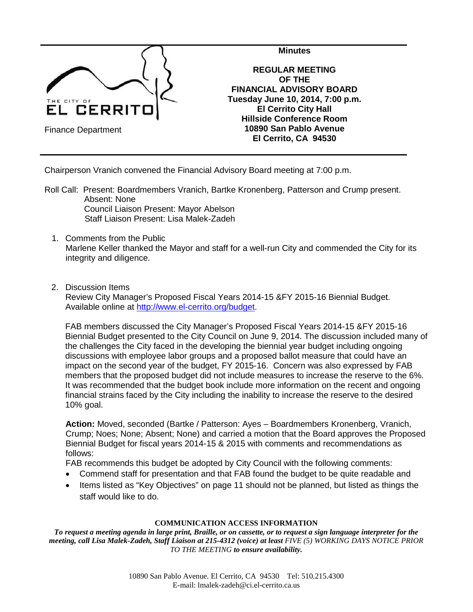

Chairperson Vranich convened the Financial Advisory Board meeting at 7:00 p.m.

- Roll Call: Present: Boardmembers Vranich, Bartke Kronenberg, Patterson and Crump present. Absent: None Council Liaison Present: Mayor Abelson Staff Liaison Present: Lisa Malek-Zadeh
	- 1. Comments from the Public Marlene Keller thanked the Mayor and staff for a well-run City and commended the City for its integrity and diligence.
	- 2. Discussion Items

Review City Manager's Proposed Fiscal Years 2014-15 &FY 2015-16 Biennial Budget. Available online at [http://www.el-cerrito.org/budget.](http://www.el-cerrito.org/budget)

FAB members discussed the City Manager's Proposed Fiscal Years 2014-15 &FY 2015-16 Biennial Budget presented to the City Council on June 9, 2014. The discussion included many of the challenges the City faced in the developing the biennial year budget including ongoing discussions with employee labor groups and a proposed ballot measure that could have an impact on the second year of the budget, FY 2015-16. Concern was also expressed by FAB members that the proposed budget did not include measures to increase the reserve to the 6%. It was recommended that the budget book include more information on the recent and ongoing financial strains faced by the City including the inability to increase the reserve to the desired 10% goal.

**Action:** Moved, seconded (Bartke / Patterson: Ayes – Boardmembers Kronenberg, Vranich, Crump; Noes; None; Absent; None) and carried a motion that the Board approves the Proposed Biennial Budget for fiscal years 2014-15 & 2015 with comments and recommendations as follows:

FAB recommends this budget be adopted by City Council with the following comments:

- Commend staff for presentation and that FAB found the budget to be quite readable and
- Items listed as "Key Objectives" on page 11 should not be planned, but listed as things the staff would like to do.

## **COMMUNICATION ACCESS INFORMATION**

*To request a meeting agenda in large print, Braille, or on cassette, or to request a sign language interpreter for the meeting, call Lisa Malek-Zadeh, Staff Liaison at 215-4312 (voice) at least FIVE (5) WORKING DAYS NOTICE PRIOR TO THE MEETING to ensure availability.*